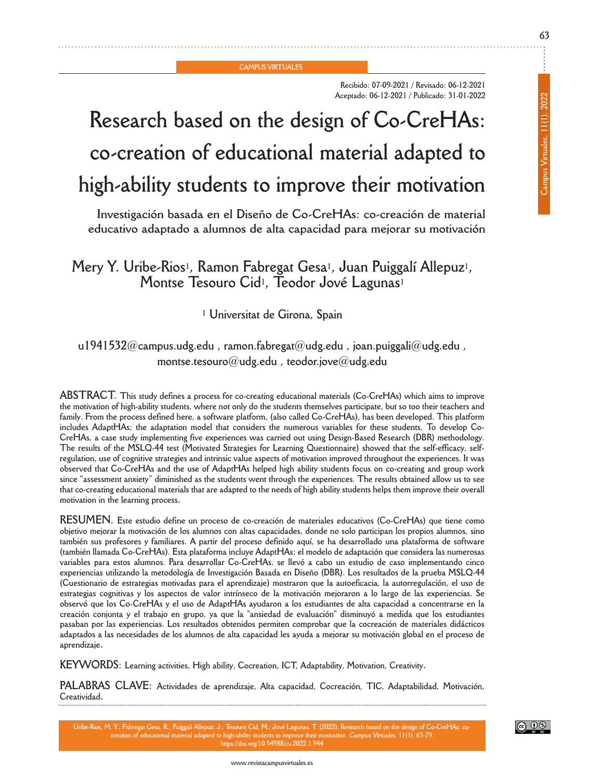**CAMPUS VIRTUALES**

**Recibido: 07-09-2021 / Revisado: 06-12-2021 Aceptado: 06-12-2021 / Publicado: 31-01-2022**

# **Research based on the design of Co-CrehAs: co-creation of educational material adapted to high-ability students to improve their motivation**

**Investigación basada en el diseño de Co-CrehAs: co-creación de material educativo adaptado a alumnos de alta capacidad para mejorar su motivación**

# **Mery y. Uribe-Rios1, Ramon fabregat gesa1, Juan Puiggalí Allepuz1, Montse Tesouro Cid1, Teodor Jové Lagunas1**

**<sup>1</sup> Universitat de girona, Spain**

## **u1941532@campus.udg.edu , ramon.fabregat@udg.edu , joan.puiggali@udg.edu , montse.tesouro@udg.edu , teodor.jove@udg.edu**

**AbSTRACT. This study defines a process for co-creating educational materials (Co-CrehAs) which aims to improve** the motivation of high-ability students, where not only do the students themselves participate, but so too their teachers and family. From the process defined here, a software platform, (also called Co-CreHAs), has been developed. This platform includes AdaptHAs; the adaptation model that considers the numerous variables for these students. To develop Co-**CrehAs, a case study implementing five experiences was carried out using design-based Research (dbR) methodology.** The results of the MSLQ-44 test (Motivated Strategies for Learning Questionnaire) showed that the self-efficacy, selfregulation, use of cognitive strategies and intrinsic value aspects of motivation improved throughout the experiences. It was observed that Co-CreHAs and the use of AdaptHAs helped high ability students focus on co-creating and group work since "assessment anxiety" diminished as the students went through the experiences. The results obtained allow us to see that co-creating educational materials that are adapted to the needs of high ability students helps them improve their overall **motivation in the learning process.**

**RESUMEn. Este estudio define un proceso de co-creación de materiales educativos (Co-CrehAs) que tiene como** objetivo mejorar la motivación de los alumnos con altas capacidades, donde no solo participan los propios alumnos, sino también sus profesores y familiares. A partir del proceso definido aquí, se ha desarrollado una plataforma de software **(también llamada Co-CrehAs). Esta plataforma incluye AdapthAs; el modelo de adaptación que considera las numerosas** variables para estos alumnos. Para desarrollar Co-CreHAs, se llevó a cabo un estudio de caso implementando cinco experiencias utilizando la metodología de Investigación Basada en Diseño (DBR). Los resultados de la prueba MSLQ-44 (Cuestionario de estrategias motivadas para el aprendizaje) mostraron que la autoeficacia, la autorregulación, el uso de estrategias cognitivas y los aspectos de valor intrínseco de la motivación mejoraron a lo largo de las experiencias. Se observó que los Co-CreHAs y el uso de AdaptHAs ayudaron a los estudiantes de alta capacidad a concentrarse en la creación conjunta y el trabajo en grupo, ya que la "ansiedad de evaluación" disminuyó a medida que los estudiantes **pasaban por las experiencias. Los resultados obtenidos permiten comprobar que la cocreación de materiales didácticos** adaptados a las necesidades de los alumnos de alta capacidad les ayuda a mejorar su motivación global en el proceso de **aprendizaje.**

**KEyWoRdS: Learning activities, high ability, Cocreation, ICT, Adaptability, Motivation, Creativity.**

**PALAbRAS CLAVE: Actividades de aprendizaje, Alta capacidad, Cocreación, TIC, Adaptabilidad, Motivación, Creatividad.**

Uribe-Rios, M. Y.; Fabregat Gesa, R.; Puiggalí Allepuz, J.; Tesouro Cid, M.; Jové Lagunas, T. (2022). Research based on the design of Co-CreHAs: co on. Campus Virtuales, 11(1), 63-79. **https://doi.org/10.54988/cv.2022.1.944**

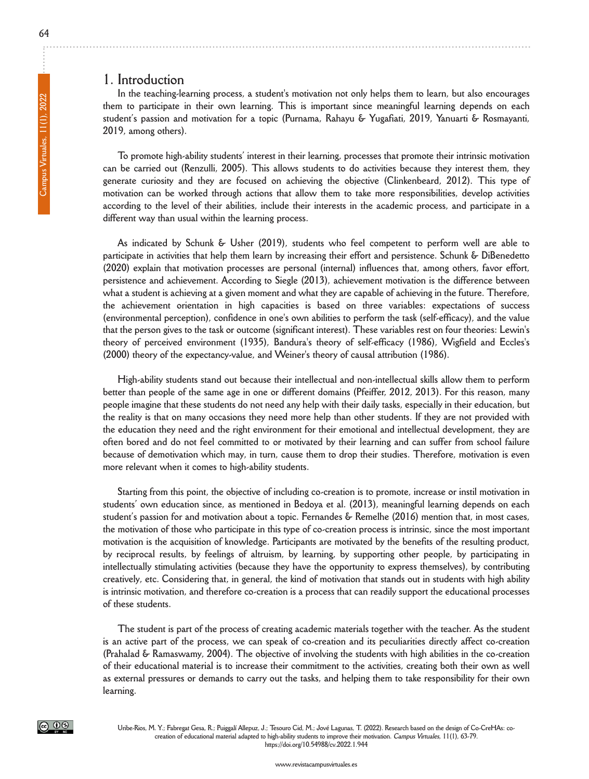#### **1. Introduction**

**In the teaching-learning process, a student's motivation not only helps them to learn, but also encourages them to participate in their own learning. This is important since meaningful learning depends on each student's passion and motivation for a topic (Purnama, Rahayu & yugafiati, 2019, yanuarti & Rosmayanti, 2019, among others).**

**To promote high-ability students' interest in their learning, processes that promote their intrinsic motivation** can be carried out (Renzulli, 2005). This allows students to do activities because they interest them, they **generate curiosity and they are focused on achieving the objective (Clinkenbeard, 2012). This type of motivation can be worked through actions that allow them to take more responsibilities, develop activities** according to the level of their abilities, include their interests in the academic process, and participate in a **different way than usual within the learning process.**

**As indicated by Schunk & Usher (2019), students who feel competent to perform well are able to participate in activities that help them learn by increasing their effort and persistence. Schunk & dibenedetto (2020) explain that motivation processes are personal (internal) influences that, among others, favor effort, persistence and achievement. According to Siegle (2013), achievement motivation is the difference between** what a student is achieving at a given moment and what they are capable of achieving in the future. Therefore, **the achievement orientation in high capacities is based on three variables: expectations of success (environmental perception), confidence in one's own abilities to perform the task (self-efficacy), and the value** that the person gives to the task or outcome (significant interest). These variables rest on four theories: Lewin's **theory of perceived environment (1935), bandura's theory of self-efficacy (1986), Wigfield and Eccles's (2000) theory of the expectancy-value, and Weiner's theory of causal attribution (1986).**

**high-ability students stand out because their intellectual and non-intellectual skills allow them to perform** better than people of the same age in one or different domains (Pfeiffer, 2012, 2013). For this reason, many people imagine that these students do not need any help with their daily tasks, especially in their education, but the reality is that on many occasions they need more help than other students. If they are not provided with **the education they need and the right environment for their emotional and intellectual development, they are** often bored and do not feel committed to or motivated by their learning and can suffer from school failure because of demotivation which may, in turn, cause them to drop their studies. Therefore, motivation is even **more relevant when it comes to high-ability students.**

Starting from this point, the objective of including co-creation is to promote, increase or instil motivation in **students' own education since, as mentioned in bedoya et al. (2013), meaningful learning depends on each** student's passion for and motivation about a topic. Fernandes & Remelhe (2016) mention that, in most cases, the motivation of those who participate in this type of co-creation process is intrinsic, since the most important **motivation is the acquisition of knowledge. Participants are motivated by the benefits of the resulting product, by reciprocal results, by feelings of altruism, by learning, by supporting other people, by participating in intellectually stimulating activities (because they have the opportunity to express themselves), by contributing** creatively, etc. Considering that, in general, the kind of motivation that stands out in students with high ability is intrinsic motivation, and therefore co-creation is a process that can readily support the educational processes **of these students.**

The student is part of the process of creating academic materials together with the teacher. As the student is an active part of the process, we can speak of co-creation and its peculiarities directly affect co-creation **(Prahalad & Ramaswamy, 2004). The objective of involving the students with high abilities in the co-creation** of their educational material is to increase their commitment to the activities, creating both their own as well as external pressures or demands to carry out the tasks, and helping them to take responsibility for their own **learning.**

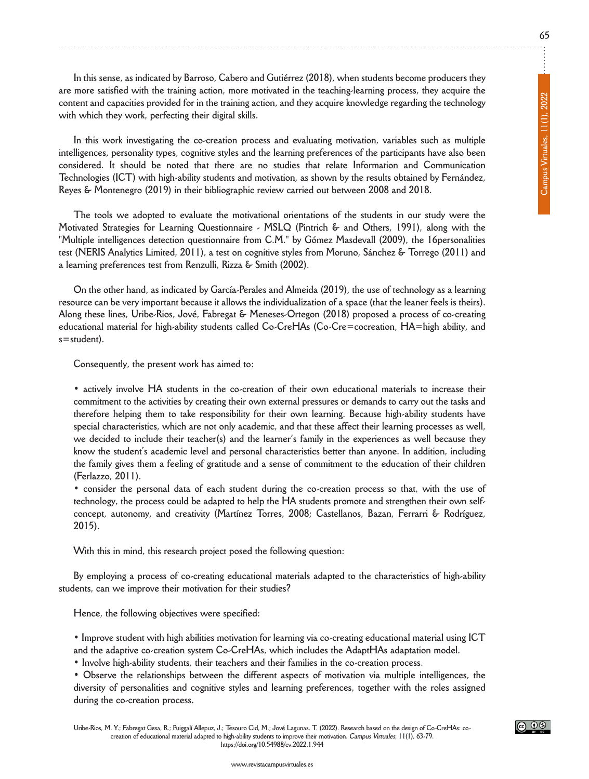**In this sense, as indicated by barroso, Cabero and gutiérrez (2018), when students become producers they are more satisfied with the training action, more motivated in the teaching-learning process, they acquire the content and capacities provided for in the training action, and they acquire knowledge regarding the technology with which they work, perfecting their digital skills.**

**In this work investigating the co-creation process and evaluating motivation, variables such as multiple intelligences, personality types, cognitive styles and the learning preferences of the participants have also been considered. It should be noted that there are no studies that relate Information and Communication Technologies (ICT) with high-ability students and motivation, as shown by the results obtained by fernández, Reyes & Montenegro (2019) in their bibliographic review carried out between 2008 and 2018.**

**The tools we adopted to evaluate the motivational orientations of the students in our study were the Motivated Strategies for Learning Questionnaire - MSLQ (Pintrich & and others, 1991), along with the "Multiple intelligences detection questionnaire from C.M." by gómez Masdevall (2009), the 16personalities** test (NERIS Analytics Limited, 2011), a test on cognitive styles from Moruno, Sánchez & Torrego (2011) and **a learning preferences test from Renzulli, Rizza & Smith (2002).**

On the other hand, as indicated by García-Perales and Almeida (2019), the use of technology as a learning resource can be very important because it allows the individualization of a space (that the leaner feels is theirs). **Along these lines, Uribe-Rios, Jové, fabregat & Meneses-ortegon (2018) proposed a process of co-creating educational material for high-ability students called Co-CrehAs (Co-Cre=cocreation, hA=high ability, and s=student).**

**Consequently, the present work has aimed to:**

**• actively involve hA students in the co-creation of their own educational materials to increase their** commitment to the activities by creating their own external pressures or demands to carry out the tasks and **therefore helping them to take responsibility for their own learning. because high-ability students have special characteristics, which are not only academic, and that these affect their learning processes as well, we decided to include their teacher(s) and the learner's family in the experiences as well because they know the student's academic level and personal characteristics better than anyone. In addition, including** the family gives them a feeling of gratitude and a sense of commitment to the education of their children **(ferlazzo, 2011).**

• consider the personal data of each student during the co-creation process so that, with the use of **technology, the process could be adapted to help the hA students promote and strengthen their own selfconcept, autonomy, and creativity (Martínez Torres, 2008; Castellanos, bazan, ferrarri & Rodríguez, 2015).**

**With this in mind, this research project posed the following question:**

**by employing a process of co-creating educational materials adapted to the characteristics of high-ability students, can we improve their motivation for their studies?**

**hence, the following objectives were specified:**

**• Improve student with high abilities motivation for learning via co-creating educational material using ICT and the adaptive co-creation system Co-CrehAs, which includes the AdapthAs adaptation model.**

**• Involve high-ability students, their teachers and their families in the co-creation process.**

**• observe the relationships between the different aspects of motivation via multiple intelligences, the diversity of personalities and cognitive styles and learning preferences, together with the roles assigned during the co-creation process.**

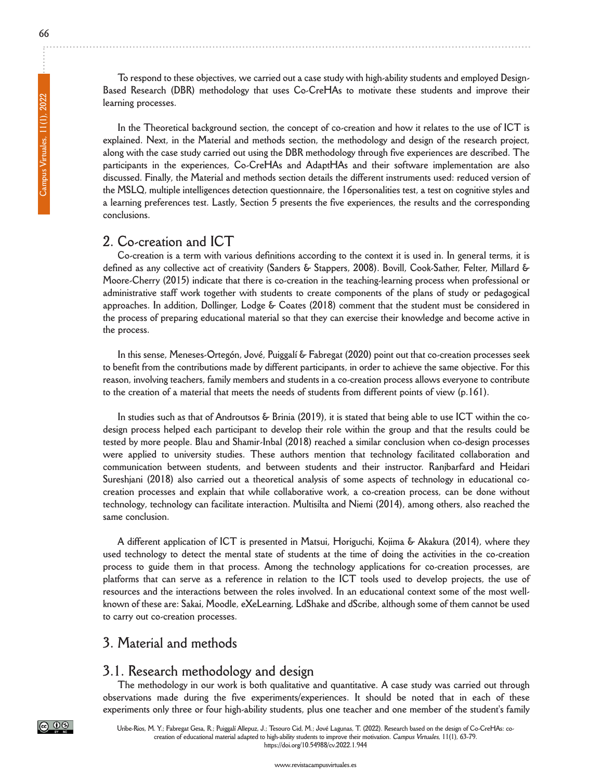To respond to these objectives, we carried out a case study with high-ability students and employed Design**based Research (dbR) methodology that uses Co-CrehAs to motivate these students and improve their learning processes.**

In the Theoretical background section, the concept of co-creation and how it relates to the use of ICT is **explained. next, in the Material and methods section, the methodology and design of the research project,** along with the case study carried out using the DBR methodology through five experiences are described. The **participants in the experiences, Co-CrehAs and AdapthAs and their software implementation are also discussed. finally, the Material and methods section details the different instruments used: reduced version of the MSLQ, multiple intelligences detection questionnaire, the 16personalities test, a test on cognitive styles and a learning preferences test. Lastly, Section 5 presents the five experiences, the results and the corresponding conclusions.**

#### **2. Co-creation and ICT**

Co-creation is a term with various definitions according to the context it is used in. In general terms, it is **defined as any collective act of creativity (Sanders & Stappers, 2008). bovill, Cook-Sather, felter, Millard & Moore-Cherry (2015) indicate that there is co-creation in the teaching-learning process when professional or administrative staff work together with students to create components of the plans of study or pedagogical approaches. In addition, dollinger, Lodge & Coates (2018) comment that the student must be considered in** the process of preparing educational material so that they can exercise their knowledge and become active in **the process.**

**In this sense, Meneses-ortegón, Jové, Puiggalí & fabregat (2020) point out that co-creation processes seek** to benefit from the contributions made by different participants, in order to achieve the same objective. For this **reason, involving teachers, family members and students in a co-creation process allows everyone to contribute** to the creation of a material that meets the needs of students from different points of view (p.161).

In studies such as that of Androutsos & Brinia (2019), it is stated that being able to use ICT within the codesign process helped each participant to develop their role within the group and that the results could be **tested by more people. blau and Shamir-Inbal (2018) reached a similar conclusion when co-design processes were applied to university studies. These authors mention that technology facilitated collaboration and communication between students, and between students and their instructor. Ranjbarfard and heidari Sureshjani (2018) also carried out a theoretical analysis of some aspects of technology in educational cocreation processes and explain that while collaborative work, a co-creation process, can be done without technology, technology can facilitate interaction. Multisilta and niemi (2014), among others, also reached the same conclusion.**

**A different application of ICT is presented in Matsui, horiguchi, Kojima & Akakura (2014), where they** used technology to detect the mental state of students at the time of doing the activities in the co-creation **process to guide them in that process. Among the technology applications for co-creation processes, are** platforms that can serve as a reference in relation to the ICT tools used to develop projects, the use of resources and the interactions between the roles involved. In an educational context some of the most well**known of these are: Sakai, Moodle, eXeLearning, LdShake and dScribe, although some of them cannot be used to carry out co-creation processes.**

## **3. Material and methods**

#### **3.1. Research methodology and design**

**The methodology in our work is both qualitative and quantitative. A case study was carried out through observations made during the five experiments/experiences. It should be noted that in each of these** experiments only three or four high-ability students, plus one teacher and one member of the student's family



Uribe-Rios, M. Y.; Fabregat Gesa, R.; Puiggalí Allepuz, J.; Tesouro Cid, M.; Jové Lagunas, T. (2022). Research based on the design of Co-CreHAs: cocreation of educational material adapted to high-ability students to improve their motivation. Campus Virtuales, 11(1), 63-79. **https://doi.org/10.54988/cv.2022.1.944**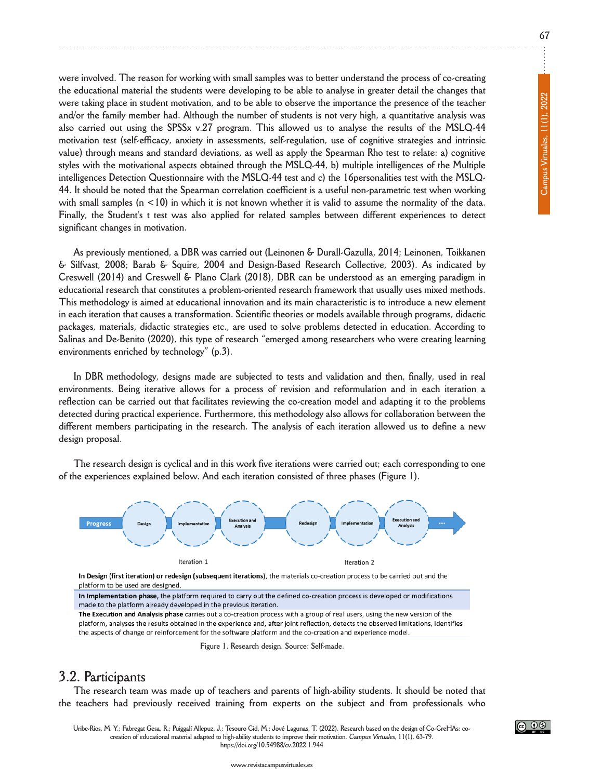were involved. The reason for working with small samples was to better understand the process of co-creating the educational material the students were developing to be able to analyse in greater detail the changes that were taking place in student motivation, and to be able to observe the importance the presence of the teacher and/or the family member had. Although the number of students is not very high, a quantitative analysis was also carried out using the SPSSx v.27 program. This allowed us to analyse the results of the MSLQ-44 **motivation test (self-efficacy, anxiety in assessments, self-regulation, use of cognitive strategies and intrinsic** value) through means and standard deviations, as well as apply the Spearman Rho test to relate: a) cognitive **styles with the motivational aspects obtained through the MSLQ-44, b) multiple intelligences of the Multiple intelligences detection Questionnaire with the MSLQ-44 test and c) the 16personalities test with the MSLQ-**44. It should be noted that the Spearman correlation coefficient is a useful non-parametric test when working with small samples  $(n < 10)$  in which it is not known whether it is valid to assume the normality of the data. **finally, the Student's t test was also applied for related samples between different experiences to detect significant changes in motivation.**

**As previously mentioned, a dbR was carried out (Leinonen & durall-gazulla, 2014; Leinonen, Toikkanen & Silfvast, 2008; barab & Squire, 2004 and design-based Research Collective, 2003). As indicated by Creswell (2014) and Creswell & Plano Clark (2018), dbR can be understood as an emerging paradigm in educational research that constitutes a problem-oriented research framework that usually uses mixed methods.** This methodology is aimed at educational innovation and its main characteristic is to introduce a new element **in each iteration that causes a transformation. Scientific theories or models available through programs, didactic packages, materials, didactic strategies etc., are used to solve problems detected in education. According to Salinas and de-benito (2020), this type of research "emerged among researchers who were creating learning environments enriched by technology" (p.3).**

**In dbR methodology, designs made are subjected to tests and validation and then, finally, used in real environments. being iterative allows for a process of revision and reformulation and in each iteration a** reflection can be carried out that facilitates reviewing the co-creation model and adapting it to the problems **detected during practical experience. furthermore, this methodology also allows for collaboration between the** different members participating in the research. The analysis of each iteration allowed us to define a new **design proposal.**

The research design is cyclical and in this work five iterations were carried out; each corresponding to one **of the experiences explained below. And each iteration consisted of three phases (figure 1).**



In Design (first iteration) or redesign (subsequent iterations), the materials co-creation process to be carried out and the platform to be used are designed.

In Implementation phase, the platform required to carry out the defined co-creation process is developed or modifications made to the platform already developed in the previous iteration.

The Execution and Analysis phase carries out a co-creation process with a group of real users, using the new version of the platform, analyses the results obtained in the experience and, after joint reflection, detects the observed limitations, identifies the aspects of change or reinforcement for the software platform and the co-creation and experience model.

**figure 1. Research design. Source: Self-made.**

### **3.2. Participants**

The research team was made up of teachers and parents of high-ability students. It should be noted that **the teachers had previously received training from experts on the subject and from professionals who**

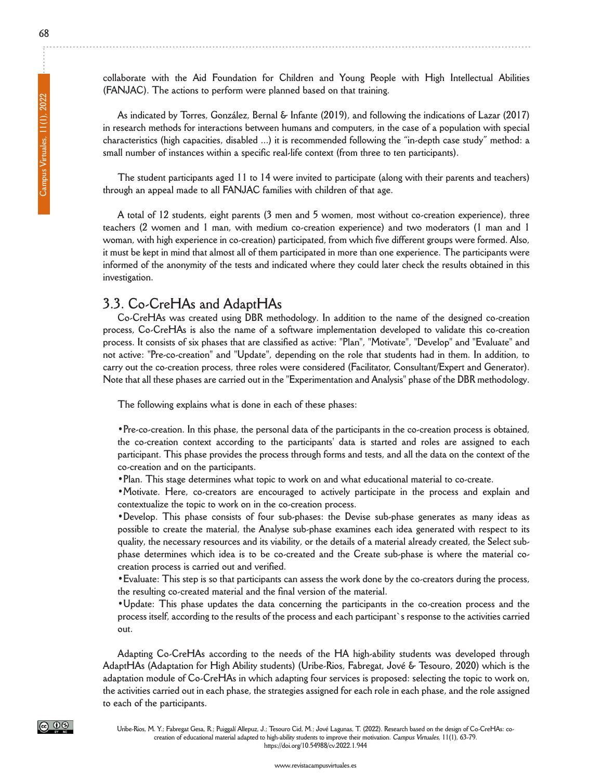**collaborate with the Aid foundation for Children and young People with high Intellectual Abilities (fAnJAC). The actions to perform were planned based on that training.**

**As indicated by Torres, gonzález, bernal & Infante (2019), and following the indications of Lazar (2017)** in research methods for interactions between humans and computers, in the case of a population with special **characteristics (high capacities, disabled ...) it is recommended following the "in-depth case study" method: a small number of instances within a specific real-life context (from three to ten participants).**

The student participants aged 11 to 14 were invited to participate (along with their parents and teachers) **through an appeal made to all fAnJAC families with children of that age.**

**A total of 12 students, eight parents (3 men and 5 women, most without co-creation experience), three teachers (2 women and 1 man, with medium co-creation experience) and two moderators (1 man and 1 woman, with high experience in co-creation) participated, from which five different groups were formed. Also,** it must be kept in mind that almost all of them participated in more than one experience. The participants were informed of the anonymity of the tests and indicated where they could later check the results obtained in this **investigation.**

## **3.3. Co-CrehAs and AdapthAs**

**Co-CrehAs was created using dbR methodology. In addition to the name of the designed co-creation process, Co-CrehAs is also the name of a software implementation developed to validate this co-creation** process. It consists of six phases that are classified as active: "Plan", "Motivate", "Develop" and "Evaluate" and not active: "Pre-co-creation" and "Update", depending on the role that students had in them. In addition, to **carry out the co-creation process, three roles were considered (facilitator, Consultant/Expert and generator).** Note that all these phases are carried out in the "Experimentation and Analysis" phase of the DBR methodology.

**The following explains what is done in each of these phases:**

**•Pre-co-creation. In this phase, the personal data of the participants in the co-creation process is obtained, the co-creation context according to the participants' data is started and roles are assigned to each** participant. This phase provides the process through forms and tests, and all the data on the context of the **co-creation and on the participants.**

**•Plan. This stage determines what topic to work on and what educational material to co-create.**

**•Motivate. here, co-creators are encouraged to actively participate in the process and explain and contextualize the topic to work on in the co-creation process.**

**•develop. This phase consists of four sub-phases: the devise sub-phase generates as many ideas as possible to create the material, the Analyse sub-phase examines each idea generated with respect to its** quality, the necessary resources and its viability, or the details of a material already created, the Select sub**phase determines which idea is to be co-created and the Create sub-phase is where the material cocreation process is carried out and verified.**

• Evaluate: This step is so that participants can assess the work done by the co-creators during the process, **the resulting co-created material and the final version of the material.**

**•Update: This phase updates the data concerning the participants in the co-creation process and the** process itself, according to the results of the process and each participant's response to the activities carried **out.**

**Adapting Co-CrehAs according to the needs of the hA high-ability students was developed through AdapthAs (Adaptation for high Ability students) (Uribe-Rios, fabregat, Jové & Tesouro, 2020) which is the** adaptation module of Co-CreHAs in which adapting four services is proposed: selecting the topic to work on, the activities carried out in each phase, the strategies assigned for each role in each phase, and the role assigned **to each of the participants.**



Uribe-Rios, M. Y.; Fabregat Gesa, R.; Puiggalí Allepuz, J.; Tesouro Cid, M.; Jové Lagunas, T. (2022). Research based on the design of Co-CreHAs: cocreation of educational material adapted to high-ability students to improve their motivation. Campus Virtuales, 11(1), 63-79. **https://doi.org/10.54988/cv.2022.1.944**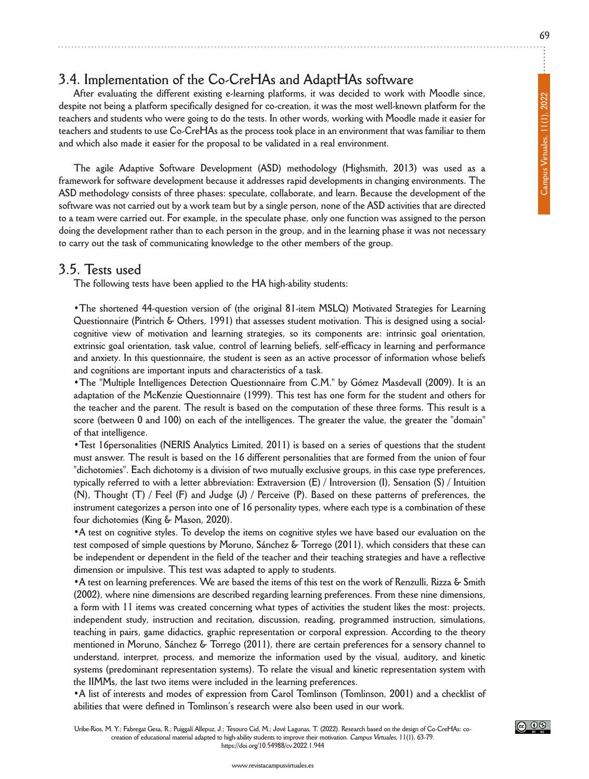# **3.4. Implementation of the Co-CrehAs and AdapthAs software**

**After evaluating the different existing e-learning platforms, it was decided to work with Moodle since,** despite not being a platform specifically designed for co-creation, it was the most well-known platform for the teachers and students who were going to do the tests. In other words, working with Moodle made it easier for teachers and students to use Co-CreHAs as the process took place in an environment that was familiar to them **and which also made it easier for the proposal to be validated in a real environment.**

**The agile Adaptive Software development (ASd) methodology (highsmith, 2013) was used as a framework for software development because it addresses rapid developments in changing environments. The ASd methodology consists of three phases: speculate, collaborate, and learn. because the development of the** software was not carried out by a work team but by a single person, none of the ASD activities that are directed to a team were carried out. For example, in the speculate phase, only one function was assigned to the person doing the development rather than to each person in the group, and in the learning phase it was not necessary **to carry out the task of communicating knowledge to the other members of the group.**

#### **3.5. Tests used**

**The following tests have been applied to the hA high-ability students:**

**•The shortened 44-question version of (the original 81-item MSLQ) Motivated Strategies for Learning Questionnaire (Pintrich & others, 1991) that assesses student motivation. This is designed using a socialcognitive view of motivation and learning strategies, so its components are: intrinsic goal orientation, extrinsic goal orientation, task value, control of learning beliefs, self-efficacy in learning and performance** and anxiety. In this questionnaire, the student is seen as an active processor of information whose beliefs **and cognitions are important inputs and characteristics of a task.**

**•The "Multiple Intelligences detection Questionnaire from C.M." by gómez Masdevall (2009). It is an adaptation of the McKenzie Questionnaire (1999). This test has one form for the student and others for** the teacher and the parent. The result is based on the computation of these three forms. This result is a score (between 0 and 100) on each of the intelligences. The greater the value, the greater the "domain" **of that intelligence.**

**•Test 16personalities (nERIS Analytics Limited, 2011) is based on a series of questions that the student** must answer. The result is based on the 16 different personalities that are formed from the union of four **"dichotomies". Each dichotomy is a division of two mutually exclusive groups, in this case type preferences, typically referred to with a letter abbreviation: Extraversion (E) / Introversion (I), Sensation (S) / Intuition** (N), Thought (T) / Feel (F) and Judge (J) / Perceive (P). Based on these patterns of preferences, the instrument categorizes a person into one of 16 personality types, where each type is a combination of these **four dichotomies (King & Mason, 2020).**

•A test on cognitive styles. To develop the items on cognitive styles we have based our evaluation on the **test composed of simple questions by Moruno, Sánchez & Torrego (2011), which considers that these can** be independent or dependent in the field of the teacher and their teaching strategies and have a reflective **dimension or impulsive. This test was adapted to apply to students.**

• A test on learning preferences. We are based the items of this test on the work of Renzulli, Rizza & Smith **(2002), where nine dimensions are described regarding learning preferences. from these nine dimensions,** a form with 11 items was created concerning what types of activities the student likes the most: projects, **independent study, instruction and recitation, discussion, reading, programmed instruction, simulations, teaching in pairs, game didactics, graphic representation or corporal expression. According to the theory mentioned in Moruno, Sánchez & Torrego (2011), there are certain preferences for a sensory channel to understand, interpret, process, and memorize the information used by the visual, auditory, and kinetic systems (predominant representation systems). To relate the visual and kinetic representation system with the IIMMs, the last two items were included in the learning preferences.**

**•A list of interests and modes of expression from Carol Tomlinson (Tomlinson, 2001) and a checklist of abilities that were defined in Tomlinson's research were also been used in our work.**

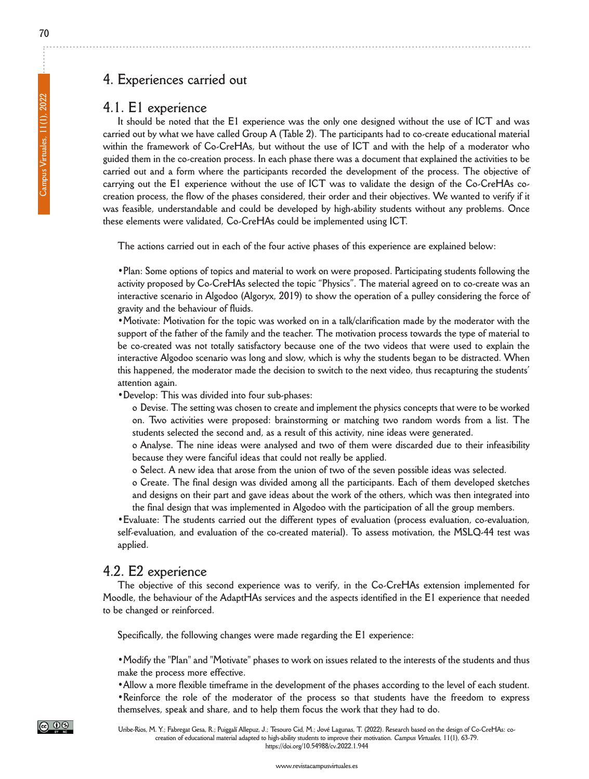# **4. Experiences carried out**

#### **4.1. E1 experience**

It should be noted that the E1 experience was the only one designed without the use of ICT and was carried out by what we have called Group A (Table 2). The participants had to co-create educational material within the framework of Co-CreHAs, but without the use of ICT and with the help of a moderator who guided them in the co-creation process. In each phase there was a document that explained the activities to be **carried out and a form where the participants recorded the development of the process. The objective of** carrying out the E1 experience without the use of ICT was to validate the design of the Co-CreHAs cocreation process, the flow of the phases considered, their order and their objectives. We wanted to verify if it **was feasible, understandable and could be developed by high-ability students without any problems. once these elements were validated, Co-CrehAs could be implemented using ICT.**

**The actions carried out in each of the four active phases of this experience are explained below:**

**•Plan: Some options of topics and material to work on were proposed. Participating students following the activity proposed by Co-CrehAs selected the topic "Physics". The material agreed on to co-create was an** interactive scenario in Algodoo (Algoryx, 2019) to show the operation of a pulley considering the force of **gravity and the behaviour of fluids.**

**•Motivate: Motivation for the topic was worked on in a talk/clarification made by the moderator with the** support of the father of the family and the teacher. The motivation process towards the type of material to be co-created was not totally satisfactory because one of the two videos that were used to explain the **interactive Algodoo scenario was long and slow, which is why the students began to be distracted. When** this happened, the moderator made the decision to switch to the next video, thus recapturing the students' **attention again.**

 $\bullet$  **Develop:** This was divided into four sub-phases:

o Devise. The setting was chosen to create and implement the physics concepts that were to be worked **on. Two activities were proposed: brainstorming or matching two random words from a list. The students selected the second and, as a result of this activity, nine ideas were generated.**

**o Analyse. The nine ideas were analysed and two of them were discarded due to their infeasibility because they were fanciful ideas that could not really be applied.**

o Select. A new idea that arose from the union of two of the seven possible ideas was selected.

**o Create. The final design was divided among all the participants. Each of them developed sketches** and designs on their part and gave ideas about the work of the others, which was then integrated into **the final design that was implemented in Algodoo with the participation of all the group members.**

**•Evaluate: The students carried out the different types of evaluation (process evaluation, co-evaluation, self-evaluation, and evaluation of the co-created material). To assess motivation, the MSLQ-44 test was applied.**

#### **4.2. E2 experience**

**The objective of this second experience was to verify, in the Co-CrehAs extension implemented for** Moodle, the behaviour of the AdaptHAs services and the aspects identified in the E1 experience that needed **to be changed or reinforced.**

**Specifically, the following changes were made regarding the E1 experience:**

. Modify the "Plan" and "Motivate" phases to work on issues related to the interests of the students and thus **make the process more effective.**

• Allow a more flexible timeframe in the development of the phases according to the level of each student. **•Reinforce the role of the moderator of the process so that students have the freedom to express themselves, speak and share, and to help them focus the work that they had to do.**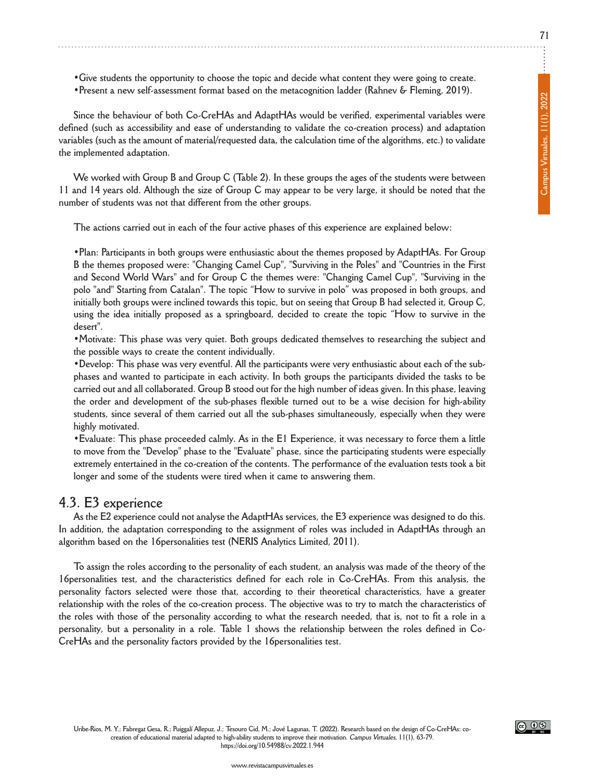**•give students the opportunity to choose the topic and decide what content they were going to create. •Present a new self-assessment format based on the metacognition ladder (Rahnev & fleming, 2019).**

**Since the behaviour of both Co-CrehAs and AdapthAs would be verified, experimental variables were defined (such as accessibility and ease of understanding to validate the co-creation process) and adaptation** variables (such as the amount of material/requested data, the calculation time of the algorithms, etc.) to validate **the implemented adaptation.**

We worked with Group B and Group C (Table 2). In these groups the ages of the students were between 11 and 14 years old. Although the size of Group C may appear to be very large, it should be noted that the **number of students was not that different from the other groups.**

**The actions carried out in each of the four active phases of this experience are explained below:**

**•Plan: Participants in both groups were enthusiastic about the themes proposed by AdapthAs. for group b the themes proposed were: "Changing Camel Cup", "Surviving in the Poles" and "Countries in the first and Second World Wars" and for group C the themes were: "Changing Camel Cup", "Surviving in the** polo "and" Starting from Catalan". The topic "How to survive in polo" was proposed in both groups, and initially both groups were inclined towards this topic, but on seeing that Group B had selected it, Group C, using the idea initially proposed as a springboard, decided to create the topic "How to survive in the **desert".**

**•Motivate: This phase was very quiet. both groups dedicated themselves to researching the subject and the possible ways to create the content individually.**

•Develop: This phase was very eventful. All the participants were very enthusiastic about each of the subphases and wanted to participate in each activity. In both groups the participants divided the tasks to be carried out and all collaborated. Group B stood out for the high number of ideas given. In this phase, leaving **the order and development of the sub-phases flexible turned out to be a wise decision for high-ability students, since several of them carried out all the sub-phases simultaneously, especially when they were highly motivated.**

• Evaluate: This phase proceeded calmly. As in the E1 Experience, it was necessary to force them a little **to move from the "develop" phase to the "Evaluate" phase, since the participating students were especially** extremely entertained in the co-creation of the contents. The performance of the evaluation tests took a bit **longer and some of the students were tired when it came to answering them.**

#### **4.3. E3 experience**

As the E2 experience could not analyse the AdaptHAs services, the E3 experience was designed to do this. **In addition, the adaptation corresponding to the assignment of roles was included in AdapthAs through an algorithm based on the 16personalities test (nERIS Analytics Limited, 2011).**

To assign the roles according to the personality of each student, an analysis was made of the theory of the **16personalities test, and the characteristics defined for each role in Co-CrehAs. from this analysis, the personality factors selected were those that, according to their theoretical characteristics, have a greater** relationship with the roles of the co-creation process. The objective was to try to match the characteristics of the roles with those of the personality according to what the research needed, that is, not to fit a role in a personality, but a personality in a role. Table 1 shows the relationship between the roles defined in Co-**CrehAs and the personality factors provided by the 16personalities test.**

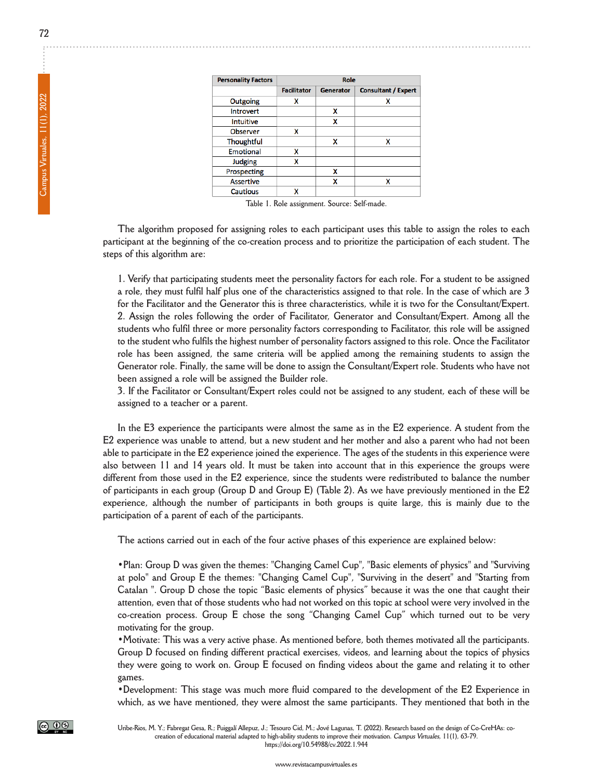| <b>Personality Factors</b> |                    | Role      |                            |
|----------------------------|--------------------|-----------|----------------------------|
|                            | <b>Facilitator</b> | Generator | <b>Consultant / Expert</b> |
| Outgoing                   | x                  |           | x                          |
| Introvert                  |                    | x         |                            |
| Intuitive                  |                    | x         |                            |
| <b>Observer</b>            | x                  |           |                            |
| Thoughtful                 |                    | X         | x                          |
| <b>Emotional</b>           | x                  |           |                            |
| <b>Judging</b>             | X                  |           |                            |
| Prospecting                |                    | x         |                            |
| <b>Assertive</b>           |                    | X         | X                          |
| Cautious                   | x                  |           |                            |

**Table 1. Role assignment. Source: Self-made.**

The algorithm proposed for assigning roles to each participant uses this table to assign the roles to each participant at the beginning of the co-creation process and to prioritize the participation of each student. The **steps of this algorithm are:**

1. Verify that participating students meet the personality factors for each role. For a student to be assigned a role, they must fulfil half plus one of the characteristics assigned to that role. In the case of which are 3 for the Facilitator and the Generator this is three characteristics, while it is two for the Consultant/Expert. **2. Assign the roles following the order of facilitator, generator and Consultant/Expert. Among all the students who fulfil three or more personality factors corresponding to facilitator, this role will be assigned** to the student who fulfils the highest number of personality factors assigned to this role. Once the Facilitator **role has been assigned, the same criteria will be applied among the remaining students to assign the** Generator role. Finally, the same will be done to assign the Consultant/Expert role. Students who have not **been assigned a role will be assigned the builder role.**

3. If the Facilitator or Consultant/Expert roles could not be assigned to any student, each of these will be **assigned to a teacher or a parent.**

In the E3 experience the participants were almost the same as in the E2 experience. A student from the E2 experience was unable to attend, but a new student and her mother and also a parent who had not been able to participate in the E2 experience joined the experience. The ages of the students in this experience were also between 11 and 14 years old. It must be taken into account that in this experience the groups were different from those used in the E2 experience, since the students were redistributed to balance the number of participants in each group (Group D and Group E) (Table 2). As we have previously mentioned in the E2 experience, although the number of participants in both groups is quite large, this is mainly due to the **participation of a parent of each of the participants.**

**The actions carried out in each of the four active phases of this experience are explained below:**

**•Plan: group d was given the themes: "Changing Camel Cup", "basic elements of physics" and "Surviving at polo" and group E the themes: "Changing Camel Cup", "Surviving in the desert" and "Starting from** Catalan ". Group D chose the topic "Basic elements of physics" because it was the one that caught their attention, even that of those students who had not worked on this topic at school were very involved in the **co-creation process. group E chose the song "Changing Camel Cup" which turned out to be very motivating for the group.**

**•Motivate: This was a very active phase. As mentioned before, both themes motivated all the participants. group d focused on finding different practical exercises, videos, and learning about the topics of physics** they were going to work on. Group E focused on finding videos about the game and relating it to other **games.**

**•development: This stage was much more fluid compared to the development of the E2 Experience in which, as we have mentioned, they were almost the same participants. They mentioned that both in the**



Uribe-Rios, M. Y.; Fabregat Gesa, R.; Puiggalí Allepuz, J.; Tesouro Cid, M.; Jové Lagunas, T. (2022). Research based on the design of Co-CreHAs: cocreation of educational material adapted to high-ability students to improve their motivation. Campus Virtuales, 11(1), 63-79. **https://doi.org/10.54988/cv.2022.1.944**

**www.revistacampusvirtuales.es**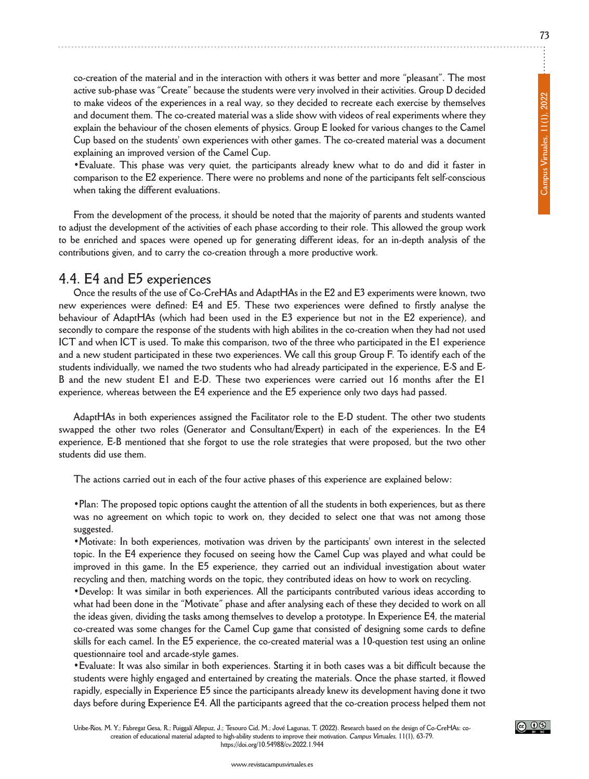co-creation of the material and in the interaction with others it was better and more "pleasant". The most **active sub-phase was "Create" because the students were very involved in their activities. group d decided** to make videos of the experiences in a real way, so they decided to recreate each exercise by themselves **and document them. The co-created material was a slide show with videos of real experiments where they** explain the behaviour of the chosen elements of physics. Group E looked for various changes to the Camel **Cup based on the students' own experiences with other games. The co-created material was a document explaining an improved version of the Camel Cup.**

• Evaluate. This phase was very quiet, the participants already knew what to do and did it faster in **comparison to the E2 experience. There were no problems and none of the participants felt self-conscious when taking the different evaluations.**

From the development of the process, it should be noted that the majority of parents and students wanted to adjust the development of the activities of each phase according to their role. This allowed the group work to be enriched and spaces were opened up for generating different ideas, for an in-depth analysis of the **contributions given, and to carry the co-creation through a more productive work.**

#### **4.4. E4 and E5 experiences**

Once the results of the use of Co-CreHAs and AdaptHAs in the E2 and E3 experiments were known, two **new experiences were defined: E4 and E5. These two experiences were defined to firstly analyse the behaviour of AdapthAs (which had been used in the E3 experience but not in the E2 experience), and** secondly to compare the response of the students with high abilites in the co-creation when they had not used ICT and when ICT is used. To make this comparison, two of the three who participated in the E1 experience and a new student participated in these two experiences. We call this group Group F. To identify each of the students individually, we named the two students who had already participated in the experience, E-S and E-B and the new student E1 and E-D. These two experiences were carried out 16 months after the E1 **experience, whereas between the E4 experience and the E5 experience only two days had passed.**

**AdapthAs in both experiences assigned the facilitator role to the E-d student. The other two students swapped the other two roles (generator and Consultant/Expert) in each of the experiences. In the E4** experience, E-B mentioned that she forgot to use the role strategies that were proposed, but the two other **students did use them.**

**The actions carried out in each of the four active phases of this experience are explained below:**

•Plan: The proposed topic options caught the attention of all the students in both experiences, but as there was no agreement on which topic to work on, they decided to select one that was not among those **suggested.**

**•Motivate: In both experiences, motivation was driven by the participants' own interest in the selected** topic. In the E4 experience they focused on seeing how the Camel Cup was played and what could be **improved in this game. In the E5 experience, they carried out an individual investigation about water recycling and then, matching words on the topic, they contributed ideas on how to work on recycling.**

**•develop: It was similar in both experiences. All the participants contributed various ideas according to** what had been done in the "Motivate" phase and after analysing each of these they decided to work on all the ideas given, dividing the tasks among themselves to develop a prototype. In Experience E4, the material **co-created was some changes for the Camel Cup game that consisted of designing some cards to define** skills for each camel. In the E5 experience, the co-created material was a 10-question test using an online **questionnaire tool and arcade-style games.**

• Evaluate: It was also similar in both experiences. Starting it in both cases was a bit difficult because the **students were highly engaged and entertained by creating the materials. once the phase started, it flowed rapidly, especially in Experience E5 since the participants already knew its development having done it two days before during Experience E4. All the participants agreed that the co-creation process helped them not**



**www.revistacampusvirtuales.es**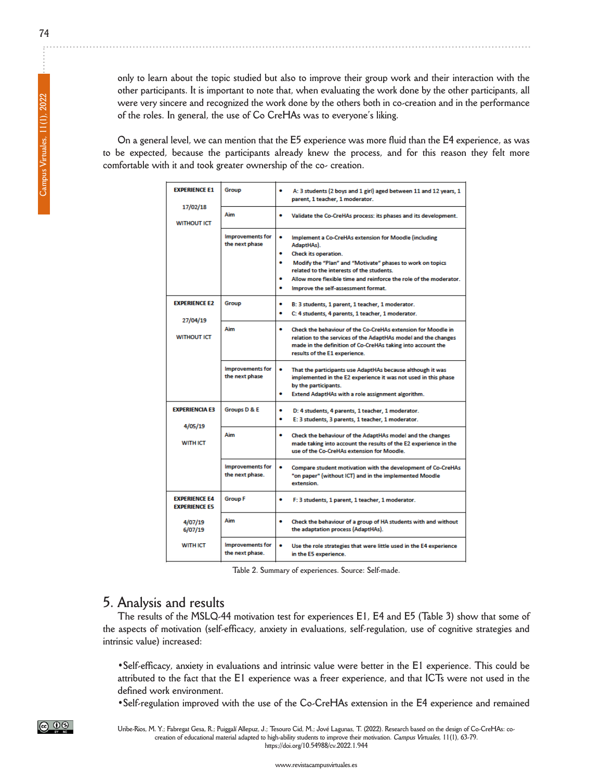only to learn about the topic studied but also to improve their group work and their interaction with the other participants. It is important to note that, when evaluating the work done by the other participants, all were very sincere and recognized the work done by the others both in co-creation and in the performance **of the roles. In general, the use of Co CrehAs was to everyone's liking.**

On a general level, we can mention that the E5 experience was more fluid than the E4 experience, as was **to be expected, because the participants already knew the process, and for this reason they felt more comfortable with it and took greater ownership of the co- creation.**

| <b>EXPERIENCE E1</b>                         | Group                                      | A: 3 students (2 boys and 1 girl) aged between 11 and 12 years, 1<br>parent, 1 teacher, 1 moderator.                                                                                                                                                                                                                             |
|----------------------------------------------|--------------------------------------------|----------------------------------------------------------------------------------------------------------------------------------------------------------------------------------------------------------------------------------------------------------------------------------------------------------------------------------|
| 17/02/18<br><b>WITHOUT ICT</b>               | Aim                                        | Validate the Co-CreHAs process: its phases and its development.                                                                                                                                                                                                                                                                  |
|                                              | <b>Improvements for</b><br>the next phase  | ۰<br>Implement a Co-CreHAs extension for Moodle (including<br>AdaptHAs).<br>Check its operation.<br>Modify the "Plan" and "Motivate" phases to work on topics<br>٠<br>related to the interests of the students.<br>Allow more flexible time and reinforce the role of the moderator.<br>۰<br>Improve the self-assessment format. |
| <b>EXPERIENCE E2</b><br>27/04/19             | Group                                      | ٠<br>B: 3 students, 1 parent, 1 teacher, 1 moderator.<br>٠<br>C: 4 students, 4 parents, 1 teacher, 1 moderator.                                                                                                                                                                                                                  |
| <b>WITHOUT ICT</b>                           | Aim                                        | ۰<br>Check the behaviour of the Co-CreHAs extension for Moodle in<br>relation to the services of the AdaptHAs model and the changes<br>made in the definition of Co-CreHAs taking into account the<br>results of the E1 experience.                                                                                              |
|                                              | <b>Improvements for</b><br>the next phase  | ۰<br>That the participants use AdaptHAs because although it was<br>implemented in the E2 experience it was not used in this phase<br>by the participants.<br>٠<br>Extend AdaptHAs with a role assignment algorithm.                                                                                                              |
| <b>EXPERIENCIA E3</b>                        | Groups D & E                               | ۰<br>D: 4 students, 4 parents, 1 teacher, 1 moderator.<br>۰<br>E: 3 students, 3 parents, 1 teacher, 1 moderator.                                                                                                                                                                                                                 |
| 4/05/19<br><b>WITH ICT</b>                   | Aim                                        | ۰<br>Check the behaviour of the AdaptHAs model and the changes<br>made taking into account the results of the E2 experience in the<br>use of the Co-CreHAs extension for Moodle                                                                                                                                                  |
|                                              | <b>Improvements for</b><br>the next phase. | Compare student motivation with the development of Co-CreHAs<br>"on paper" (without ICT) and in the implemented Moodle<br>extension.                                                                                                                                                                                             |
| <b>EXPERIENCE E4</b><br><b>EXPERIENCE ES</b> | <b>Group F</b>                             | ٠<br>F: 3 students, 1 parent, 1 teacher, 1 moderator.                                                                                                                                                                                                                                                                            |
| 4/07/19<br>6/07/19                           | Aim                                        | ٠<br>Check the behaviour of a group of HA students with and without<br>the adaptation process (AdaptHAs).                                                                                                                                                                                                                        |
| <b>WITH ICT</b>                              | <b>Improvements for</b><br>the next phase. | ۰<br>Use the role strategies that were little used in the E4 experience<br>in the E5 experience.                                                                                                                                                                                                                                 |

**Table 2. Summary of experiences. Source: Self-made.**

#### **5. Analysis and results**

The results of the MSLQ-44 motivation test for experiences E1, E4 and E5 (Table 3) show that some of **the aspects of motivation (self-efficacy, anxiety in evaluations, self-regulation, use of cognitive strategies and intrinsic value) increased:**

**•Self-efficacy, anxiety in evaluations and intrinsic value were better in the E1 experience. This could be** attributed to the fact that the E1 experience was a freer experience, and that ICTs were not used in the **defined work environment.**

**•Self-regulation improved with the use of the Co-CrehAs extension in the E4 experience and remained**

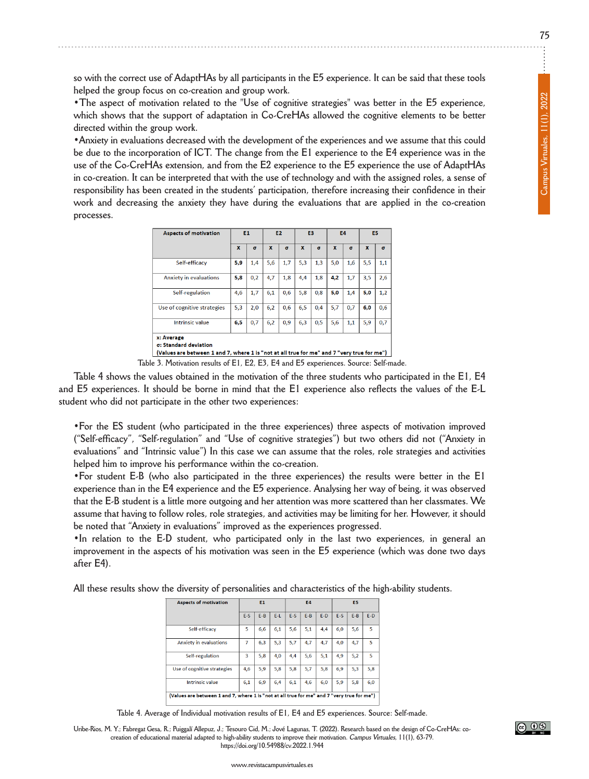so with the correct use of AdaptHAs by all participants in the E5 experience. It can be said that these tools **helped the group focus on co-creation and group work.**

**•The aspect of motivation related to the "Use of cognitive strategies" was better in the E5 experience, which shows that the support of adaptation in Co-CrehAs allowed the cognitive elements to be better directed within the group work.**

**•Anxiety in evaluations decreased with the development of the experiences and we assume that this could** be due to the incorporation of ICT. The change from the E1 experience to the E4 experience was in the use of the Co-CreHAs extension, and from the E2 experience to the E5 experience the use of AdaptHAs in co-creation. It can be interpreted that with the use of technology and with the assigned roles, a sense of **responsibility has been created in the students' participation, therefore increasing their confidence in their work and decreasing the anxiety they have during the evaluations that are applied in the co-creation processes.**

| <b>Aspects of motivation</b>                                                                                                      | E1           |          | E <sub>2</sub> |          | E3           |          | E4           |          | E5           |          |
|-----------------------------------------------------------------------------------------------------------------------------------|--------------|----------|----------------|----------|--------------|----------|--------------|----------|--------------|----------|
|                                                                                                                                   | $\mathbf{x}$ | $\sigma$ | $\mathbf{x}$   | $\sigma$ | $\mathbf{x}$ | $\sigma$ | $\mathbf{x}$ | $\sigma$ | $\mathbf{x}$ | $\sigma$ |
| Self-efficacv                                                                                                                     | 5,9          | 1,4      | 5,6            | 1,7      | 5,3          | 1,3      | 5,0          | 1,6      | 5,5          | 1,1      |
| Anxiety in evaluations                                                                                                            | 5,8          | 0,2      | 4,7            | 1,8      | 4,4          | 1,8      | 4,2          | 1,7      | 3,5          | 2,6      |
| Self-regulation                                                                                                                   | 4,6          | 1,7      | 6.1            | 0,6      | 5,8          | 0,8      | 5,0          | 1,4      | 5,0          | 1,2      |
| Use of cognitive strategies                                                                                                       | 5,3          | 2,0      | 6,2            | 0,6      | 6,5          | 0,4      | 5,7          | 0,7      | 6,0          | 0,6      |
| <b>Intrinsic value</b>                                                                                                            | 6,5          | 0,7      | 6,2            | 0,9      | 6,3          | 0,5      | 5,6          | 1,1      | 5,9          | 0,7      |
| x: Average<br>σ: Standard deviation<br>(Values are between 1 and 7, where 1 is "not at all true for me" and 7 "very true for me") |              |          |                |          |              |          |              |          |              |          |

**Table 3. Motivation results of E1, E2, E3, E4 and E5 experiences. Source: Self-made.**

Table 4 shows the values obtained in the motivation of the three students who participated in the E1, E4 and E5 experiences. It should be borne in mind that the E1 experience also reflects the values of the E-L **student who did not participate in the other two experiences:**

**•for the ES student (who participated in the three experiences) three aspects of motivation improved ("Self-efficacy", "Self-regulation" and "Use of cognitive strategies") but two others did not ("Anxiety in** evaluations" and "Intrinsic value") In this case we can assume that the roles, role strategies and activities **helped him to improve his performance within the co-creation.**

**•for student E-b (who also participated in the three experiences) the results were better in the E1** experience than in the E4 experience and the E5 experience. Analysing her way of being, it was observed that the E-B student is a little more outgoing and her attention was more scattered than her classmates. We assume that having to follow roles, role strategies, and activities may be limiting for her. However, it should **be noted that "Anxiety in evaluations" improved as the experiences progressed.**

**•In relation to the E-d student, who participated only in the last two experiences, in general an** improvement in the aspects of his motivation was seen in the E5 experience (which was done two days **after E4).**

**All these results show the diversity of personalities and characteristics of the high-ability students.**

| <b>Aspects of motivation</b>                                                               | E1    |       | <b>E4</b> |       |         | E5    |       |         |       |
|--------------------------------------------------------------------------------------------|-------|-------|-----------|-------|---------|-------|-------|---------|-------|
|                                                                                            | $E-S$ | $E-B$ | $E-L$     | $E-S$ | $E - B$ | $E-D$ | $E-S$ | $E - B$ | $E-D$ |
| Self-efficacv                                                                              | 5     | 6,6   | 6,1       | 5,6   | 5,1     | 4,4   | 6,0   | 5,6     | 5     |
| <b>Anxiety in evaluations</b>                                                              | 7     | 6,3   | 5,3       | 5.7   | 4,7     | 4,7   | 4.0   | 4,7     | 5     |
| Self-regulation                                                                            | 3     | 5,8   | 4,0       | 4,4   | 5,6     | 5,1   | 4,9   | 5,2     | 5     |
| Use of cognitive strategies                                                                | 4.6   | 5,9   | 5.8       | 5,8   | 5,7     | 5,8   | 6.9   | 5,3     | 5,8   |
| <b>Intrinsic value</b>                                                                     | 6,1   | 6,9   | 6,4       | 6,1   | 4,6     | 6,0   | 5,9   | 5,8     | 6,0   |
| (Values are between 1 and 7, where 1 is "not at all true for me" and 7 "very true for me") |       |       |           |       |         |       |       |         |       |

**Table 4. Average of Individual motivation results of E1, E4 and E5 experiences. Source: Self-made.**

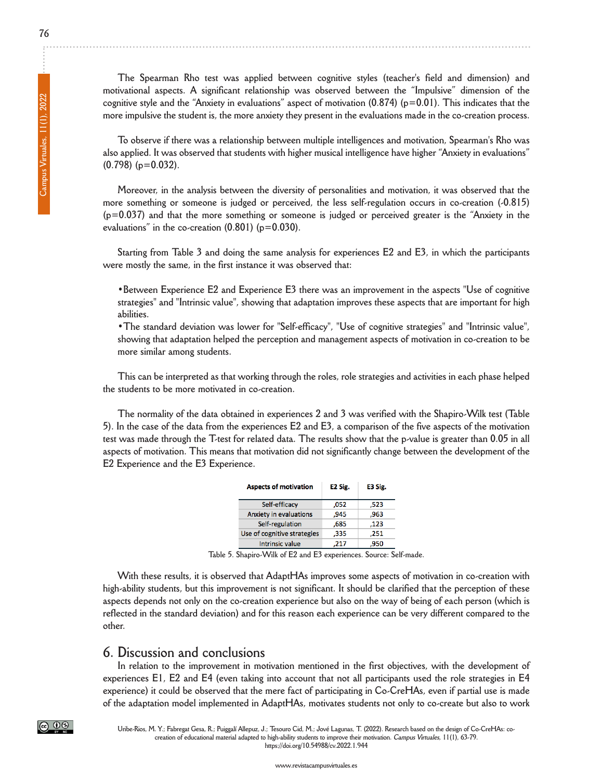**The Spearman Rho test was applied between cognitive styles (teacher's field and dimension) and motivational aspects. A significant relationship was observed between the "Impulsive" dimension of the cognitive style and the "Anxiety in evaluations" aspect of motivation (0.874) (p=0.01). This indicates that the** more impulsive the student is, the more anxiety they present in the evaluations made in the co-creation process.

**To observe if there was a relationship between multiple intelligences and motivation, Spearman's Rho was** also applied. It was observed that students with higher musical intelligence have higher "Anxiety in evaluations" **(0.798) (p=0.032).**

**Moreover, in the analysis between the diversity of personalities and motivation, it was observed that the more something or someone is judged or perceived, the less self-regulation occurs in co-creation (-0.815)**  $(p=0.037)$  and that the more something or someone is judged or perceived greater is the "Anxiety in the **evaluations" in the co-creation (0.801) (p=0.030).**

Starting from Table 3 and doing the same analysis for experiences E2 and E3, in which the participants **were mostly the same, in the first instance it was observed that:**

**•between Experience E2 and Experience E3 there was an improvement in the aspects "Use of cognitive strategies" and "Intrinsic value", showing that adaptation improves these aspects that are important for high abilities.**

**•The standard deviation was lower for "Self-efficacy", "Use of cognitive strategies" and "Intrinsic value", showing that adaptation helped the perception and management aspects of motivation in co-creation to be more similar among students.**

This can be interpreted as that working through the roles, role strategies and activities in each phase helped **the students to be more motivated in co-creation.**

The normality of the data obtained in experiences 2 and 3 was verified with the Shapiro-Wilk test (Table 5). In the case of the data from the experiences E2 and E3, a comparison of the five aspects of the motivation test was made through the T-test for related data. The results show that the p-value is greater than 0.05 in all **aspects of motivation. This means that motivation did not significantly change between the development of the E2 Experience and the E3 Experience.**

| <b>Aspects of motivation</b>  | E <sub>2</sub> Sig. | E3 Sig. |  |  |
|-------------------------------|---------------------|---------|--|--|
| Self-efficacy                 | .052                | .523    |  |  |
| <b>Anxiety in evaluations</b> | ,945                | ,963    |  |  |
| Self-regulation               | .685                | .123    |  |  |
| Use of cognitive strategies   | .335                | .251    |  |  |
| <b>Intrinsic value</b>        | .217                | 950     |  |  |

**Table 5. Shapiro-Wilk of E2 and E3 experiences. Source: Self-made.**

**With these results, it is observed that AdapthAs improves some aspects of motivation in co-creation with** high-ability students, but this improvement is not significant. It should be clarified that the perception of these aspects depends not only on the co-creation experience but also on the way of being of each person (which is reflected in the standard deviation) and for this reason each experience can be very different compared to the **other.**

#### **6. discussion and conclusions**

**In relation to the improvement in motivation mentioned in the first objectives, with the development of** experiences E1, E2 and E4 (even taking into account that not all participants used the role strategies in E4 experience) it could be observed that the mere fact of participating in Co-CreHAs, even if partial use is made of the adaptation model implemented in AdaptHAs, motivates students not only to co-create but also to work

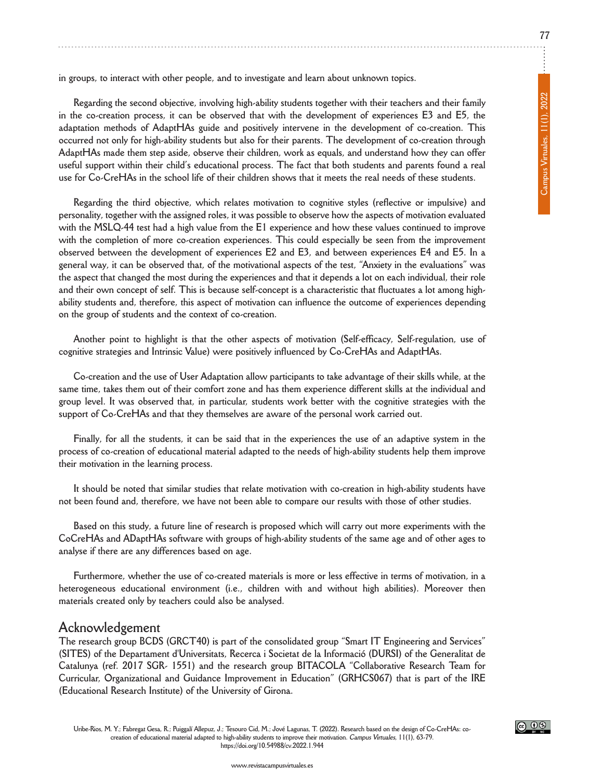**in groups, to interact with other people, and to investigate and learn about unknown topics.**

**Regarding the second objective, involving high-ability students together with their teachers and their family** in the co-creation process, it can be observed that with the development of experiences E3 and E5, the **adaptation methods of AdapthAs guide and positively intervene in the development of co-creation. This occurred not only for high-ability students but also for their parents. The development of co-creation through AdapthAs made them step aside, observe their children, work as equals, and understand how they can offer** useful support within their child's educational process. The fact that both students and parents found a real use for Co-CreHAs in the school life of their children shows that it meets the real needs of these students.

**Regarding the third objective, which relates motivation to cognitive styles (reflective or impulsive) and** personality, together with the assigned roles, it was possible to observe how the aspects of motivation evaluated with the MSLQ-44 test had a high value from the E1 experience and how these values continued to improve **with the completion of more co-creation experiences. This could especially be seen from the improvement observed between the development of experiences E2 and E3, and between experiences E4 and E5. In a** general way, it can be observed that, of the motivational aspects of the test, "Anxiety in the evaluations" was the aspect that changed the most during the experiences and that it depends a lot on each individual, their role and their own concept of self. This is because self-concept is a characteristic that fluctuates a lot among high**ability students and, therefore, this aspect of motivation can influence the outcome of experiences depending on the group of students and the context of co-creation.**

**Another point to highlight is that the other aspects of motivation (Self-efficacy, Self-regulation, use of cognitive strategies and Intrinsic Value) were positively influenced by Co-CrehAs and AdapthAs.**

Co-creation and the use of User Adaptation allow participants to take advantage of their skills while, at the same time, takes them out of their comfort zone and has them experience different skills at the individual and group level. It was observed that, in particular, students work better with the cognitive strategies with the **support of Co-CrehAs and that they themselves are aware of the personal work carried out.**

Finally, for all the students, it can be said that in the experiences the use of an adaptive system in the **process of co-creation of educational material adapted to the needs of high-ability students help them improve their motivation in the learning process.**

**It should be noted that similar studies that relate motivation with co-creation in high-ability students have** not been found and, therefore, we have not been able to compare our results with those of other studies.

Based on this study, a future line of research is proposed which will carry out more experiments with the CoCreHAs and ADaptHAs software with groups of high-ability students of the same age and of other ages to **analyse if there are any differences based on age.**

Furthermore, whether the use of co-created materials is more or less effective in terms of motivation, in a **heterogeneous educational environment (i.e., children with and without high abilities). Moreover then materials created only by teachers could also be analysed.**

#### **Acknowledgement**

**The research group bCdS (gRCT40) is part of the consolidated group "Smart IT Engineering and Services" (SITES) of the departament d'Universitats, Recerca i Societat de la Informació (dURSI) of the generalitat de Catalunya (ref. 2017 SgR- 1551) and the research group bITACoLA "Collaborative Research Team for Curricular, organizational and guidance Improvement in Education" (gRhCS067) that is part of the IRE (Educational Research Institute) of the University of girona.**

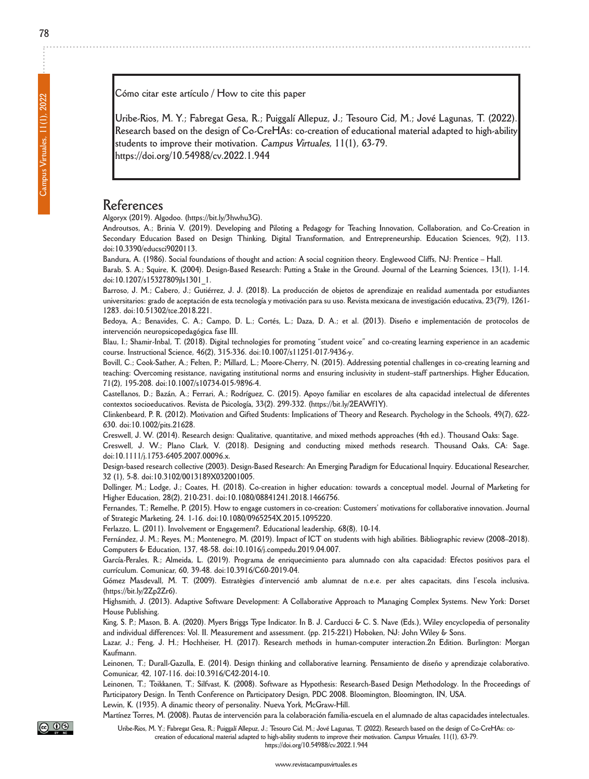**Cómo citar este artículo / how to cite this paper**

**Uribe-Rios, M. y.; fabregat gesa, R.; Puiggalí Allepuz, J.; Tesouro Cid, M.; Jové Lagunas, T. (2022). Research based on the design of Co-CrehAs: co-creation of educational material adapted to high-ability students to improve their motivation. Campus Virtuales, 11(1), 63-79. https://doi.org/10.54988/cv.2022.1.944**

#### **References**

**Algoryx (2019). Algodoo. (https://bit.ly/3hwhu3g).**

Androutsos, A.; Brinia V. (2019). Developing and Piloting a Pedagogy for Teaching Innovation, Collaboration, and Co-Creation in **Secondary Education based on design Thinking, digital Transformation, and Entrepreneurship. Education Sciences, 9(2), 113. doi:10.3390/educsci9020113.**

Bandura, A. (1986). Social foundations of thought and action: A social cognition theory. Englewood Cliffs, NJ: Prentice - Hall.

Barab, S. A.; Squire, K. (2004). Design-Based Research: Putting a Stake in the Ground. Journal of the Learning Sciences, 13(1), 1-14. **doi:10.1207/s15327809jls1301\_1.**

Barroso, J. M.; Cabero, J.; Gutiérrez, J. J. (2018). La producción de objetos de aprendizaje en realidad aumentada por estudiantes universitarios: grado de aceptación de esta tecnología y motivación para su uso. Revista mexicana de investigación educativa, 23(79), 1261-**1283. doi:10.51302/tce.2018.221.**

Bedoya, A.; Benavides, C. A.; Campo, D. L.; Cortés, L.; Daza, D. A.; et al. (2013). Diseño e implementación de protocolos de **intervención neuropsicopedagógica fase III.**

Blau, I.; Shamir-Inbal, T. (2018). Digital technologies for promoting "student voice" and co-creating learning experience in an academic **course. Instructional Science, 46(2), 315-336. doi:10.1007/s11251-017-9436-y.**

Bovill, C.; Cook-Sather, A.; Felten, P.; Millard, L.; Moore-Cherry, N. (2015). Addressing potential challenges in co-creating learning and teaching: Overcoming resistance, navigating institutional norms and ensuring inclusivity in student-staff partnerships. Higher Education, **71(2), 195-208. doi:10.1007/s10734-015-9896-4.**

Castellanos, D.; Bazán, A.; Ferrari, A.; Rodríguez, C. (2015). Apoyo familiar en escolares de alta capacidad intelectual de diferentes **contextos socioeducativos. Revista de Psicología, 33(2). 299-332. (https://bit.ly/2EAWf1y).**

Clinkenbeard, P. R. (2012). Motivation and Gifted Students: Implications of Theory and Research. Psychology in the Schools, 49(7), 622-**630. doi:10.1002/pits.21628.**

Creswell, J. W. (2014). Research design: Qualitative, quantitative, and mixed methods approaches (4th ed.). Thousand Oaks: Sage.

Creswell, J. W.; Plano Clark, V. (2018). Designing and conducting mixed methods research. Thousand Oaks, CA: Sage. **doi:10.1111/j.1753-6405.2007.00096.x.**

Design-based research collective (2003). Design-Based Research: An Emerging Paradigm for Educational Inquiry. Educational Researcher, **32 (1), 5-8. doi:10.3102/0013189X032001005.**

Dollinger, M.; Lodge, J.; Coates, H. (2018). Co-creation in higher education: towards a conceptual model. Journal of Marketing for **higher Education, 28(2), 210-231. doi:10.1080/08841241.2018.1466756.**

Fernandes, T.; Remelhe, P. (2015). How to engage customers in co-creation: Customers' motivations for collaborative innovation. Journal **of Strategic Marketing, 24. 1-16. doi:10.1080/0965254X.2015.1095220.**

**ferlazzo, L. (2011). Involvement or Engagement?. Educational leadership, 68(8), 10-14.**

Fernández, J. M.; Reyes, M.; Montenegro, M. (2019). Impact of ICT on students with high abilities. Bibliographic review (2008–2018). **Computers & Education, 137, 48-58. doi:10.1016/j.compedu.2019.04.007.**

García-Perales, R.; Almeida, L. (2019). Programa de enriquecimiento para alumnado con alta capacidad: Efectos positivos para el **currículum. Comunicar, 60, 39-48. doi:10.3916/C60-2019-04.**

Gómez Masdevall, M. T. (2009). Estratègies d'intervenció amb alumnat de n.e.e. per altes capacitats, dins l'escola inclusiva. **(https://bit.ly/2Zp2Zr6).**

Highsmith, J. (2013). Adaptive Software Development: A Collaborative Approach to Managing Complex Systems. New York: Dorset **house Publishing.**

King, S. P.; Mason, B. A. (2020). Myers Briggs Type Indicator. In B. J. Carducci & C. S. Nave (Eds.), Wiley encyclopedia of personality **and individual differences: Vol. II. Measurement and assessment. (pp. 215-221) hoboken, nJ: John Wiley & Sons.**

Lazar, J.; Feng, J. H.; Hochheiser, H. (2017). Research methods in human-computer interaction.2n Edition. Burlington: Morgan **Kaufmann.**

Leinonen, T.; Durall-Gazulla, E. (2014). Design thinking and collaborative learning. Pensamiento de diseño y aprendizaje colaborativo. **Comunicar, 42, 107-116. doi:10.3916/C42-2014-10.**

Leinonen, T.; Toikkanen, T.; Silfvast, K. (2008). Software as Hypothesis: Research-Based Design Methodology. In the Proceedings of **Participatory design. In Tenth Conference on Participatory design, PdC 2008. bloomington, bloomington, In, USA. Lewin, K. (1935). A dinamic theory of personality. nueva york, Mcgraw-hill.**

Martínez Torres, M. (2008). Pautas de intervención para la colaboración familia-escuela en el alumnado de altas capacidades intelectuales.